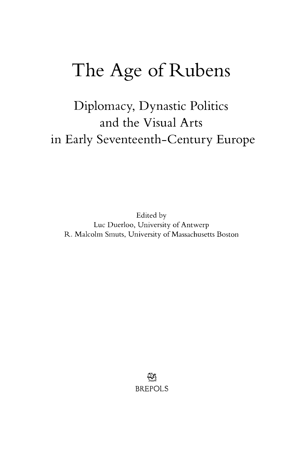## The Age of Rubens

Diplomacy, Dynastic Politics and the Visual Arts in Early Seventeenth-Century Europe

Edited by Luc Duerloo, University of Antwerp R. Malcolm Smuts, University of Massachusetts Boston

> §2 **BR.EPOLS**